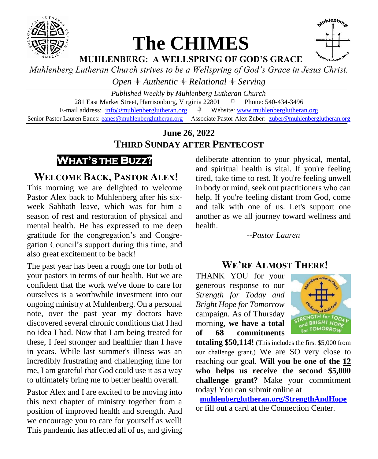

# **The CHIMES**



**MUHLENBERG: A WELLSPRING OF GOD'S GRACE**

*Muhlenberg Lutheran Church strives to be a Wellspring of God's Grace in Jesus Christ.*

 $Open$   $#$  Authentic  $#$  Relational  $#$  Serving

*Published Weekly by Muhlenberg Lutheran Church* 281 East Market Street, Harrisonburg, Virginia 22801  $\#$  Phone: 540-434-3496 E-mail address:  $info@muhlenberglutheran.org$   $\qquad$  Website: [www.muhlenberglutheran.org](http://www.muhlenberglutheran.org/) Senior Pastor Lauren Eanes[: eanes@muhlenberglutheran.org](mailto:eanes@muhlenberglutheran.org) Associate Pastor Alex Zuber: [zuber@muhlenberglutheran.org](mailto:zuber@muhlenberglutheran.org)

# **June 26, 2022 THIRD SUNDAY AFTER PENTECOST**



# **WELCOME BACK, PASTOR ALEX!**

This morning we are delighted to welcome Pastor Alex back to Muhlenberg after his sixweek Sabbath leave, which was for him a season of rest and restoration of physical and mental health. He has expressed to me deep gratitude for the congregation's and Congregation Council's support during this time, and also great excitement to be back!

The past year has been a rough one for both of your pastors in terms of our health. But we are confident that the work we've done to care for ourselves is a worthwhile investment into our ongoing ministry at Muhlenberg. On a personal note, over the past year my doctors have discovered several chronic conditions that I had no idea I had. Now that I am being treated for these, I feel stronger and healthier than I have in years. While last summer's illness was an incredibly frustrating and challenging time for me, I am grateful that God could use it as a way to ultimately bring me to better health overall.

Pastor Alex and I are excited to be moving into this next chapter of ministry together from a position of improved health and strength. And we encourage you to care for yourself as well! This pandemic has affected all of us, and giving

deliberate attention to your physical, mental, and spiritual health is vital. If you're feeling tired, take time to rest. If you're feeling unwell in body or mind, seek out practitioners who can help. If you're feeling distant from God, come and talk with one of us. Let's support one another as we all journey toward wellness and health.

*--Pastor Lauren*

# **WE'RE ALMOST THERE!**

THANK YOU for your generous response to our *Strength for Today and Bright Hope for Tomorrow* campaign. As of Thursday morning, **we have a total of 68 commitments** 



**totaling \$50,114!** (This includes the first \$5,000 from our challenge grant.) We are SO very close to reaching our goal. **Will you be one of the 12 who helps us receive the second \$5,000 challenge grant?** Make your commitment today! You can submit online at

**[muhlenberglutheran.org/StrengthAndHope](http://muhlenberglutheran.org/StrengthAndHope)** or fill out a card at the Connection Center.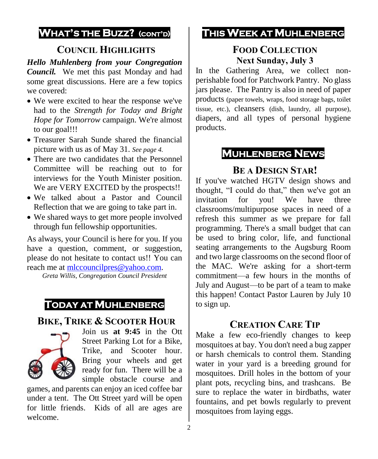# **WHAT'S THE BUZZ? (CONT'D)**

# **COUNCIL HIGHLIGHTS**

*Hello Muhlenberg from your Congregation Council.* We met this past Monday and had some great discussions. Here are a few topics we covered:

- We were excited to hear the response we've had to the *Strength for Today and Bright Hope for Tomorrow* campaign. We're almost to our goal!!!
- Treasurer Sarah Sunde shared the financial picture with us as of May 31. *See page 4.*
- There are two candidates that the Personnel Committee will be reaching out to for interviews for the Youth Minister position. We are VERY EXCITED by the prospects!!
- We talked about a Pastor and Council Reflection that we are going to take part in.
- We shared ways to get more people involved through fun fellowship opportunities.

As always, your Council is here for you. If you have a question, comment, or suggestion, please do not hesitate to contact us!! You can reach me at [mlccouncilpres@yahoo.com.](mailto:mlccouncilpres@yahoo.com)

*Greta Willis, Congregation Council President*

# **TODAY AT MUHLENBERG**

#### **BIKE, TRIKE & SCOOTER HOUR**



Join us **at 9:45** in the Ott Street Parking Lot for a Bike, Trike, and Scooter hour. Bring your wheels and get ready for fun. There will be a simple obstacle course and

games, and parents can enjoy an iced coffee bar under a tent. The Ott Street yard will be open for little friends. Kids of all are ages are welcome.

# **THIS WEEK AT MUHLENBERG**

#### **FOOD COLLECTION Next Sunday, July 3**

In the Gathering Area, we collect nonperishable food for Patchwork Pantry. No glass jars please. The Pantry is also in need of paper products (paper towels, wraps, food storage bags, toilet tissue, etc.), cleansers (dish, laundry, all purpose), diapers, and all types of personal hygiene products.

# **MUHLENBERG NEWS**

#### **BE A DESIGN STAR!**

If you've watched HGTV design shows and thought, "I could do that," then we've got an invitation for you! We have three classrooms/multipurpose spaces in need of a refresh this summer as we prepare for fall programming. There's a small budget that can be used to bring color, life, and functional seating arrangements to the Augsburg Room and two large classrooms on the second floor of the MAC. We're asking for a short-term commitment—a few hours in the months of July and August—to be part of a team to make this happen! Contact Pastor Lauren by July 10 to sign up.

# **CREATION CARE TIP**

Make a few eco-friendly changes to keep mosquitoes at bay. You don't need a bug zapper or harsh chemicals to control them. Standing water in your yard is a breeding ground for mosquitoes. Drill holes in the bottom of your plant pots, recycling bins, and trashcans. Be sure to replace the water in birdbaths, water fountains, and pet bowls regularly to prevent mosquitoes from laying eggs.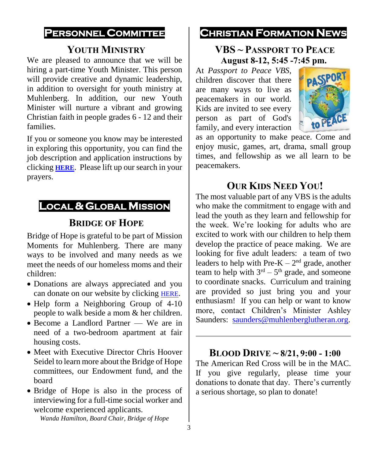#### **PERSONNEL COMMITTEE**

#### **YOUTH MINISTRY**

We are pleased to announce that we will be hiring a part-time Youth Minister. This person will provide creative and dynamic leadership, in addition to oversight for youth ministry at Muhlenberg. In addition, our new Youth Minister will nurture a vibrant and growing Christian faith in people grades 6 - 12 and their families.

If you or someone you know may be interested in exploring this opportunity, you can find the job description and application instructions by clicking **[HERE](https://www.muhlenberglutheran.org/jobs.html)**. Please lift up our search in your prayers.

# **LOCAL & GLOBAL MISSION**

#### **BRIDGE OF HOPE**

Bridge of Hope is grateful to be part of Mission Moments for Muhlenberg. There are many ways to be involved and many needs as we meet the needs of our homeless moms and their children:

- Donations are always appreciated and you can donate on our website by clicking [HERE](https://secure.myvanco.com/YKC0/campaign/C-12J6Z).
- Help form a Neighboring Group of 4-10 people to walk beside a mom & her children.
- Become a Landlord Partner We are in need of a two-bedroom apartment at fair housing costs.
- Meet with Executive Director Chris Hoover Seidel to learn more about the Bridge of Hope committees, our Endowment fund, and the board
- Bridge of Hope is also in the process of interviewing for a full-time social worker and welcome experienced applicants.

*Wanda Hamilton, Board Chair, Bridge of Hope*

#### **CHRISTIAN FORMATION NEWS**

#### **VBS ~ PASSPORT TO PEACE August 8-12, 5:45 -7:45 pm.**

At *Passport to Peace VBS*, children discover that there are many ways to live as peacemakers in our world. Kids are invited to see every person as part of God's family, and every interaction



as an opportunity to make peace. Come and enjoy music, games, art, drama, small group times, and fellowship as we all learn to be peacemakers.

#### **OUR KIDS NEED YOU!**

The most valuable part of any VBS is the adults who make the commitment to engage with and lead the youth as they learn and fellowship for the week. We're looking for adults who are excited to work with our children to help them develop the practice of peace making. We are looking for five adult leaders: a team of two leaders to help with Pre- $K - 2<sup>nd</sup>$  grade, another team to help with  $3<sup>rd</sup> - 5<sup>th</sup>$  grade, and someone to coordinate snacks. Curriculum and training are provided so just bring you and your enthusiasm! If you can help or want to know more, contact Children's Minister Ashley Saunders: [saunders@muhlenberglutheran.org.](mailto:saunders@muhlenberglutheran.org)

#### **BLOOD DRIVE ~ 8/21, 9:00 - 1:00**

The American Red Cross will be in the MAC. If you give regularly, please time your donations to donate that day. There's currently a serious shortage, so plan to donate!